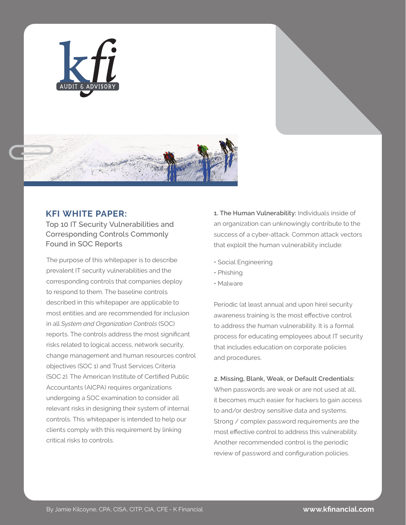



## **KFI WHITE PAPER:**

Top 10 IT Security Vulnerabilities and Corresponding Controls Commonly Found in SOC Reports

The purpose of this whitepaper is to describe prevalent IT security vulnerabilities and the corresponding controls that companies deploy to respond to them. The baseline controls described in this whitepaper are applicable to most entities and are recommended for inclusion in all *System and Organization Controls* (SOC) reports. The controls address the most significant risks related to logical access, network security, change management and human resources control objectives (SOC 1) and Trust Services Criteria (SOC 2). The American Institute of Certified Public Accountants (AICPA) requires organizations undergoing a SOC examination to consider all relevant risks in designing their system of internal controls. This whitepaper is intended to help our clients comply with this requirement by linking critical risks to controls.

**1. The Human Vulnerability:** Individuals inside of an organization can unknowingly contribute to the success of a cyber-attack. Common attack vectors that exploit the human vulnerability include:

- Social Engineering
- Phishing
- Malware

Periodic (at least annual and upon hire) security awareness training is the most effective control to address the human vulnerability. It is a formal process for educating employees about IT security that includes education on corporate policies and procedures.

**2. Missing, Blank, Weak, or Default Credentials:** 

When passwords are weak or are not used at all, it becomes much easier for hackers to gain access to and/or destroy sensitive data and systems. Strong / complex password requirements are the most effective control to address this vulnerability. Another recommended control is the periodic review of password and configuration policies.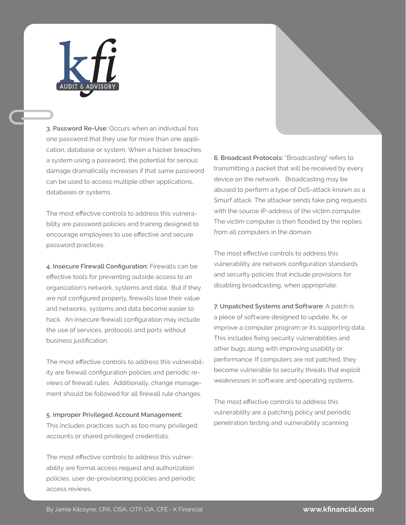

**3. Password Re-Use:** Occurs when an individual has one password that they use for more than one application, database or system. When a hacker breaches a system using a password, the potential for serious damage dramatically increases if that same password can be used to access multiple other applications, databases or systems.

The most effective controls to address this vulnerability are password policies and training designed to encourage employees to use effective and secure password practices.

**4. Insecure Firewall Configuration:** Firewalls can be effective tools for preventing outside access to an organization's network, systems and data. But if they are not configured properly, firewalls lose their value and networks, systems and data become easier to hack. An insecure firewall configuration may include the use of services, protocols and ports without business justification.

The most effective controls to address this vulnerability are firewall configuration policies and periodic reviews of firewall rules. Additionally, change management should be followed for all firewall rule changes.

**5. Improper Privileged Account Management:**  This includes practices such as too many privileged accounts or shared privileged credentials.

The most effective controls to address this vulnerability are formal access request and authorization policies, user de-provisioning policies and periodic access reviews.

**6. Broadcast Protocols:** "Broadcasting" refers to transmitting a packet that will be received by every device on the network. Broadcasting may be abused to perform a type of DoS-attack known as a Smurf attack. The attacker sends fake ping requests with the source IP-address of the victim computer. The victim computer is then flooded by the replies from all computers in the domain.

The most effective controls to address this vulnerability are network configuration standards and security policies that include provisions for disabling broadcasting, when appropriate.

**7. Unpatched Systems and Software:** A patch is a piece of software designed to update, fix, or improve a computer program or its supporting data. This includes fixing security vulnerabilities and other bugs along with improving usability or performance. If computers are not patched, they become vulnerable to security threats that exploit weaknesses in software and operating systems.

The most effective controls to address this vulnerability are a patching policy and periodic penetration testing and vulnerability scanning.